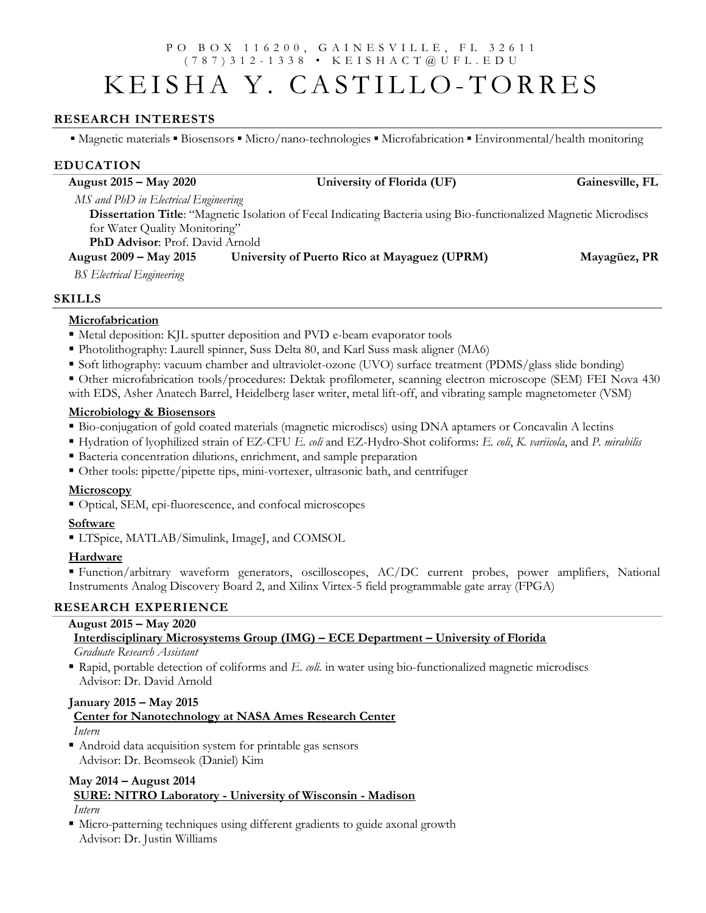### P O B O X 1 1 6 2 0 0 , G A I N E S V I L L E , F L 3 2 6 1 1 ( 7 8 7 ) 3 1 2 - 1 3 3 8 • K E I S H A C T @ U F L . E D U

# KEISHA Y. CASTILLO-TORRES

## RESEARCH INTERESTS

■ Magnetic materials ■ Biosensors ■ Micro/nano-technologies ■ Microfabrication ■ Environmental/health monitoring

## EDUCATION

| August 2015 – May 2020                                                                                            | University of Florida (UF)                   | Gainesville, FL |  |  |
|-------------------------------------------------------------------------------------------------------------------|----------------------------------------------|-----------------|--|--|
| MS and PhD in Electrical Engineering                                                                              |                                              |                 |  |  |
| Dissertation Title: "Magnetic Isolation of Fecal Indicating Bacteria using Bio-functionalized Magnetic Microdiscs |                                              |                 |  |  |
| for Water Quality Monitoring"                                                                                     |                                              |                 |  |  |
| <b>PhD Advisor:</b> Prof. David Arnold                                                                            |                                              |                 |  |  |
| August 2009 – May 2015                                                                                            | University of Puerto Rico at Mayaguez (UPRM) | Mayagüez, PR    |  |  |
| <b>BS</b> Electrical Engineering                                                                                  |                                              |                 |  |  |

## SKILLS

## **Microfabrication**

- Metal deposition: KJL sputter deposition and PVD e-beam evaporator tools
- Photolithography: Laurell spinner, Suss Delta 80, and Karl Suss mask aligner (MA6)
- Soft lithography: vacuum chamber and ultraviolet-ozone (UVO) surface treatment (PDMS/glass slide bonding)

 Other microfabrication tools/procedures: Dektak profilometer, scanning electron microscope (SEM) FEI Nova 430 with EDS, Asher Anatech Barrel, Heidelberg laser writer, metal lift-off, and vibrating sample magnetometer (VSM)

## Microbiology & Biosensors

- Bio-conjugation of gold coated materials (magnetic microdiscs) using DNA aptamers or Concavalin A lectins
- Hydration of lyophilized strain of EZ-CFU E. coli and EZ-Hydro-Shot coliforms: E. coli, K. variicola, and P. mirabilis
- Bacteria concentration dilutions, enrichment, and sample preparation
- Other tools: pipette/pipette tips, mini-vortexer, ultrasonic bath, and centrifuger

## **Microscopy**

Optical, SEM, epi-fluorescence, and confocal microscopes

## Software

■ LTSpice, MATLAB/Simulink, ImageJ, and COMSOL

## **Hardware**

 Function/arbitrary waveform generators, oscilloscopes, AC/DC current probes, power amplifiers, National Instruments Analog Discovery Board 2, and Xilinx Virtex-5 field programmable gate array (FPGA)

## RESEARCH EXPERIENCE

## August 2015 – May 2020

## Interdisciplinary Microsystems Group (IMG) – ECE Department – University of Florida

Graduate Research Assistant

Rapid, portable detection of coliforms and  $E$ . *coli*. in water using bio-functionalized magnetic microdiscs Advisor: Dr. David Arnold

### January 2015 – May 2015

## Center for Nanotechnology at NASA Ames Research Center Intern

 Android data acquisition system for printable gas sensors Advisor: Dr. Beomseok (Daniel) Kim

# May 2014 – August 2014 SURE: NITRO Laboratory - University of Wisconsin - Madison

Intern

 Micro-patterning techniques using different gradients to guide axonal growth Advisor: Dr. Justin Williams